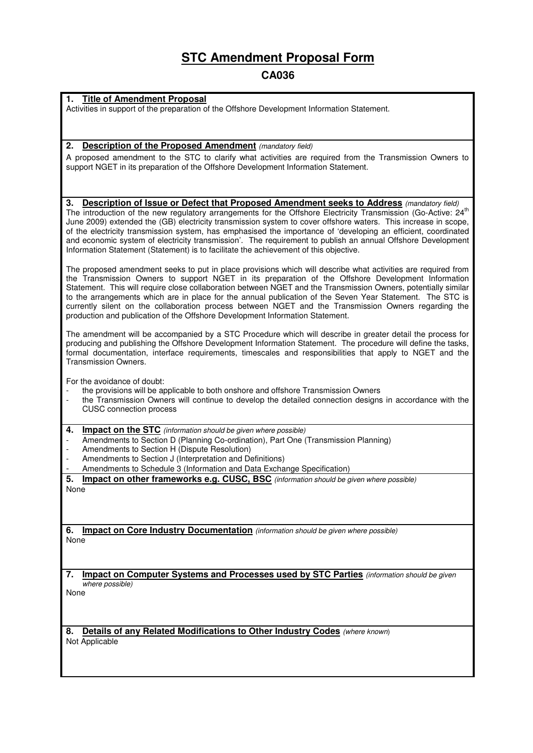# **STC Amendment Proposal Form**

# **CA036**

## **1. Title of Amendment Proposal**

Activities in support of the preparation of the Offshore Development Information Statement.

### **2. Description of the Proposed Amendment** (mandatory field)

A proposed amendment to the STC to clarify what activities are required from the Transmission Owners to support NGET in its preparation of the Offshore Development Information Statement.

**3. Description of Issue or Defect that Proposed Amendment seeks to Address** (mandatory field) The introduction of the new regulatory arrangements for the Offshore Electricity Transmission (Go-Active: 24<sup>th</sup> June 2009) extended the (GB) electricity transmission system to cover offshore waters. This increase in scope, of the electricity transmission system, has emphasised the importance of 'developing an efficient, coordinated and economic system of electricity transmission'. The requirement to publish an annual Offshore Development Information Statement (Statement) is to facilitate the achievement of this objective.

The proposed amendment seeks to put in place provisions which will describe what activities are required from the Transmission Owners to support NGET in its preparation of the Offshore Development Information Statement. This will require close collaboration between NGET and the Transmission Owners, potentially similar to the arrangements which are in place for the annual publication of the Seven Year Statement. The STC is currently silent on the collaboration process between NGET and the Transmission Owners regarding the production and publication of the Offshore Development Information Statement.

The amendment will be accompanied by a STC Procedure which will describe in greater detail the process for producing and publishing the Offshore Development Information Statement. The procedure will define the tasks, formal documentation, interface requirements, timescales and responsibilities that apply to NGET and the Transmission Owners.

For the avoidance of doubt:

- the provisions will be applicable to both onshore and offshore Transmission Owners
- the Transmission Owners will continue to develop the detailed connection designs in accordance with the CUSC connection process
- **4.** Impact on the STC (information should be given where possible)
- Amendments to Section D (Planning Co-ordination), Part One (Transmission Planning)
- Amendments to Section H (Dispute Resolution)
- Amendments to Section J (Interpretation and Definitions)
- Amendments to Schedule 3 (Information and Data Exchange Specification)

**5. Impact on other frameworks e.g. CUSC, BSC** (information should be given where possible) None

**6. Impact on Core Industry Documentation** (information should be given where possible) None

**7. Impact on Computer Systems and Processes used by STC Parties** (information should be given where possible)

None

**8. Details of any Related Modifications to Other Industry Codes** (where known) Not Applicable